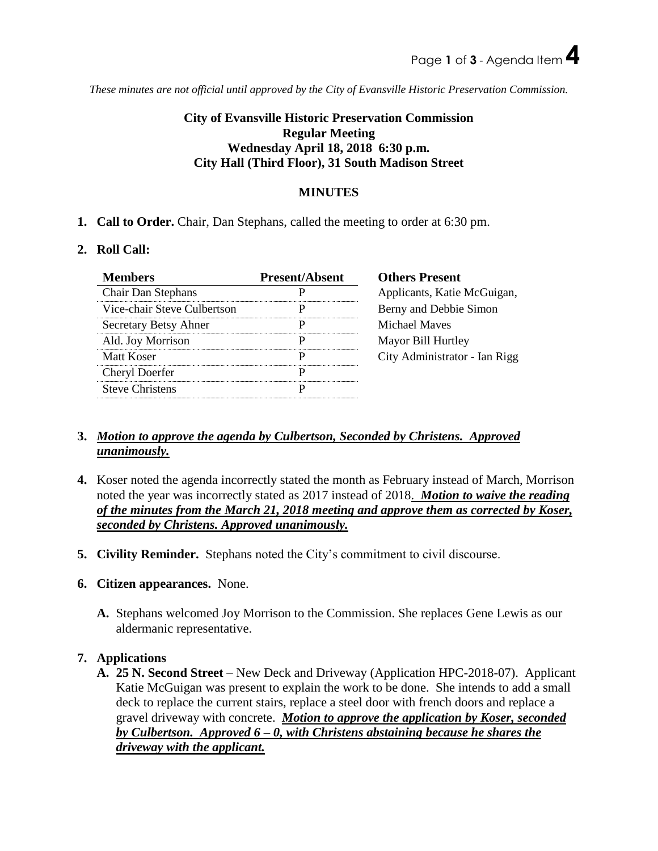*These minutes are not official until approved by the City of Evansville Historic Preservation Commission.*

## **City of Evansville Historic Preservation Commission Regular Meeting Wednesday April 18, 2018 6:30 p.m. City Hall (Third Floor), 31 South Madison Street**

## **MINUTES**

**1. Call to Order.** Chair, Dan Stephans, called the meeting to order at 6:30 pm.

#### **2. Roll Call:**

| <b>Members</b>               | <b>Present/Absent</b> | <b>Others Present</b>         |
|------------------------------|-----------------------|-------------------------------|
| Chair Dan Stephans           |                       | Applicants, Katie McGuigan,   |
| Vice-chair Steve Culbertson  |                       | Berny and Debbie Simon        |
| <b>Secretary Betsy Ahner</b> |                       | Michael Mayes                 |
| Ald. Joy Morrison            |                       | Mayor Bill Hurtley            |
| Matt Koser                   |                       | City Administrator - Ian Rigg |
| Cheryl Doerfer               |                       |                               |
| <b>Steve Christens</b>       |                       |                               |

## **3.** *Motion to approve the agenda by Culbertson, Seconded by Christens. Approved unanimously.*

- **4.** Koser noted the agenda incorrectly stated the month as February instead of March, Morrison noted the year was incorrectly stated as 2017 instead of 2018. *Motion to waive the reading of the minutes from the March 21, 2018 meeting and approve them as corrected by Koser, seconded by Christens. Approved unanimously.*
- **5. Civility Reminder.** Stephans noted the City's commitment to civil discourse.
- **6. Citizen appearances.** None.
	- **A.** Stephans welcomed Joy Morrison to the Commission. She replaces Gene Lewis as our aldermanic representative.

#### **7. Applications**

**A. 25 N. Second Street** – New Deck and Driveway (Application HPC-2018-07). Applicant Katie McGuigan was present to explain the work to be done. She intends to add a small deck to replace the current stairs, replace a steel door with french doors and replace a gravel driveway with concrete. *Motion to approve the application by Koser, seconded by Culbertson. Approved 6 – 0, with Christens abstaining because he shares the driveway with the applicant.*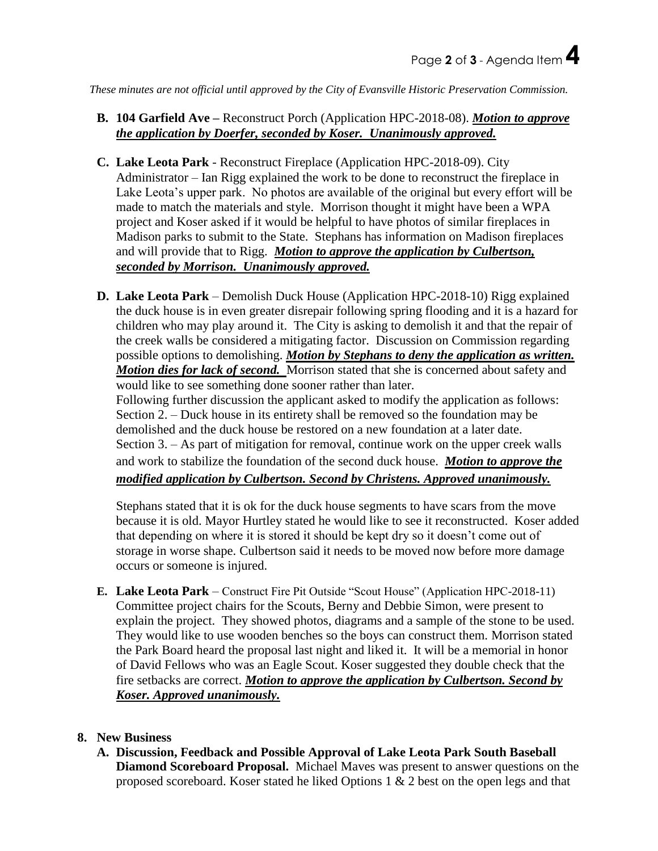*These minutes are not official until approved by the City of Evansville Historic Preservation Commission.*

## **B. 104 Garfield Ave –** Reconstruct Porch (Application HPC-2018-08). *Motion to approve the application by Doerfer, seconded by Koser. Unanimously approved.*

- **C. Lake Leota Park** Reconstruct Fireplace (Application HPC-2018-09). City Administrator – Ian Rigg explained the work to be done to reconstruct the fireplace in Lake Leota's upper park. No photos are available of the original but every effort will be made to match the materials and style. Morrison thought it might have been a WPA project and Koser asked if it would be helpful to have photos of similar fireplaces in Madison parks to submit to the State. Stephans has information on Madison fireplaces and will provide that to Rigg. *Motion to approve the application by Culbertson, seconded by Morrison. Unanimously approved.*
- **D. Lake Leota Park** Demolish Duck House (Application HPC-2018-10) Rigg explained the duck house is in even greater disrepair following spring flooding and it is a hazard for children who may play around it. The City is asking to demolish it and that the repair of the creek walls be considered a mitigating factor. Discussion on Commission regarding possible options to demolishing. *Motion by Stephans to deny the application as written. Motion dies for lack of second.* Morrison stated that she is concerned about safety and would like to see something done sooner rather than later. Following further discussion the applicant asked to modify the application as follows: Section 2. – Duck house in its entirety shall be removed so the foundation may be demolished and the duck house be restored on a new foundation at a later date. Section 3. – As part of mitigation for removal, continue work on the upper creek walls and work to stabilize the foundation of the second duck house. *Motion to approve the modified application by Culbertson. Second by Christens. Approved unanimously.*

Stephans stated that it is ok for the duck house segments to have scars from the move because it is old. Mayor Hurtley stated he would like to see it reconstructed. Koser added that depending on where it is stored it should be kept dry so it doesn't come out of storage in worse shape. Culbertson said it needs to be moved now before more damage occurs or someone is injured.

**E. Lake Leota Park** – Construct Fire Pit Outside "Scout House" (Application HPC-2018-11) Committee project chairs for the Scouts, Berny and Debbie Simon, were present to explain the project. They showed photos, diagrams and a sample of the stone to be used. They would like to use wooden benches so the boys can construct them. Morrison stated the Park Board heard the proposal last night and liked it. It will be a memorial in honor of David Fellows who was an Eagle Scout. Koser suggested they double check that the fire setbacks are correct. *Motion to approve the application by Culbertson. Second by Koser. Approved unanimously.*

## **8. New Business**

**A. Discussion, Feedback and Possible Approval of Lake Leota Park South Baseball Diamond Scoreboard Proposal.** Michael Maves was present to answer questions on the proposed scoreboard. Koser stated he liked Options 1 & 2 best on the open legs and that